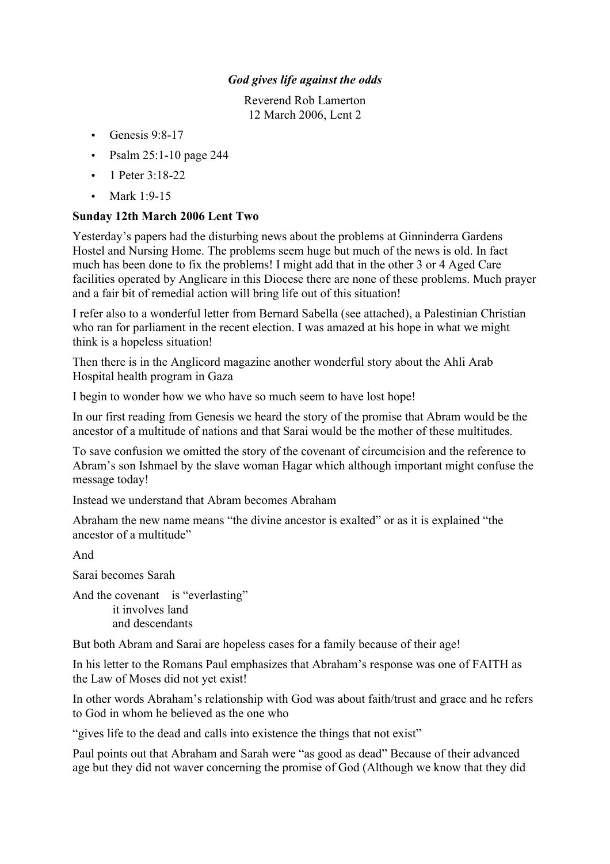## *God gives life against the odds*

Reverend Rob Lamerton 12 March 2006, Lent 2

- Genesis  $9:8-17$
- Psalm 25:1-10 page 244
- 1 Peter  $3:18-22$
- Mark 1:9-15

## **Sunday 12th March 2006 Lent Two**

Yesterday's papers had the disturbing news about the problems at Ginninderra Gardens Hostel and Nursing Home. The problems seem huge but much of the news is old. In fact much has been done to fix the problems! I might add that in the other 3 or 4 Aged Care facilities operated by Anglicare in this Diocese there are none of these problems. Much prayer and a fair bit of remedial action will bring life out of this situation!

I refer also to a wonderful letter from Bernard Sabella (see attached), a Palestinian Christian who ran for parliament in the recent election. I was amazed at his hope in what we might think is a hopeless situation!

Then there is in the Anglicord magazine another wonderful story about the Ahli Arab Hospital health program in Gaza

I begin to wonder how we who have so much seem to have lost hope!

In our first reading from Genesis we heard the story of the promise that Abram would be the ancestor of a multitude of nations and that Sarai would be the mother of these multitudes.

To save confusion we omitted the story of the covenant of circumcision and the reference to Abram's son Ishmael by the slave woman Hagar which although important might confuse the message today!

Instead we understand that Abram becomes Abraham

Abraham the new name means "the divine ancestor is exalted" or as it is explained "the ancestor of a multitude"

And

Sarai becomes Sarah

And the covenant is "everlasting" it involves land and descendants

But both Abram and Sarai are hopeless cases for a family because of their age!

In his letter to the Romans Paul emphasizes that Abraham's response was one of FAITH as the Law of Moses did not yet exist!

In other words Abraham's relationship with God was about faith/trust and grace and he refers to God in whom he believed as the one who

"gives life to the dead and calls into existence the things that not exist"

Paul points out that Abraham and Sarah were "as good as dead" Because of their advanced age but they did not waver concerning the promise of God (Although we know that they did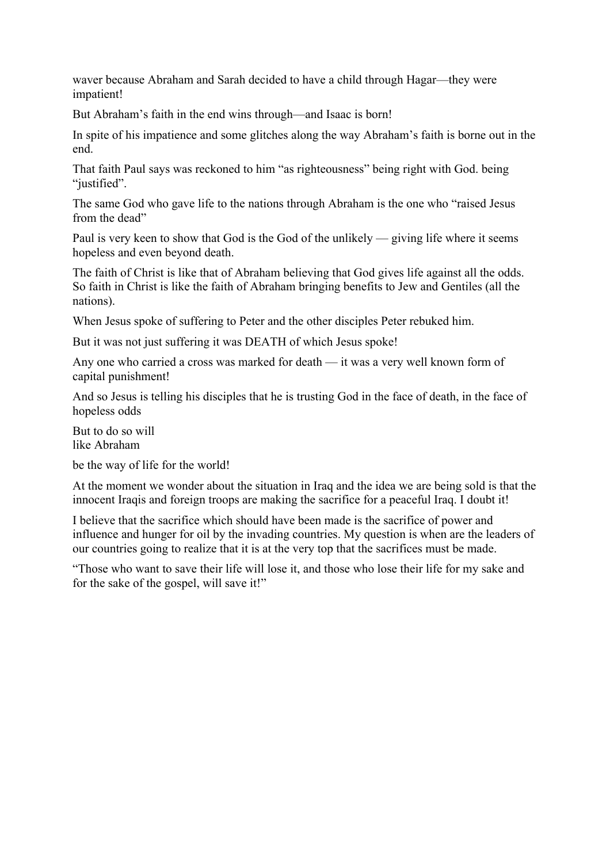waver because Abraham and Sarah decided to have a child through Hagar—they were impatient!

But Abraham's faith in the end wins through—and Isaac is born!

In spite of his impatience and some glitches along the way Abraham's faith is borne out in the end.

That faith Paul says was reckoned to him "as righteousness" being right with God. being "justified".

The same God who gave life to the nations through Abraham is the one who "raised Jesus from the dead"

Paul is very keen to show that God is the God of the unlikely — giving life where it seems hopeless and even beyond death.

The faith of Christ is like that of Abraham believing that God gives life against all the odds. So faith in Christ is like the faith of Abraham bringing benefits to Jew and Gentiles (all the nations).

When Jesus spoke of suffering to Peter and the other disciples Peter rebuked him.

But it was not just suffering it was DEATH of which Jesus spoke!

Any one who carried a cross was marked for death — it was a very well known form of capital punishment!

And so Jesus is telling his disciples that he is trusting God in the face of death, in the face of hopeless odds

But to do so will like Abraham

be the way of life for the world!

At the moment we wonder about the situation in Iraq and the idea we are being sold is that the innocent Iraqis and foreign troops are making the sacrifice for a peaceful Iraq. I doubt it!

I believe that the sacrifice which should have been made is the sacrifice of power and influence and hunger for oil by the invading countries. My question is when are the leaders of our countries going to realize that it is at the very top that the sacrifices must be made.

"Those who want to save their life will lose it, and those who lose their life for my sake and for the sake of the gospel, will save it!"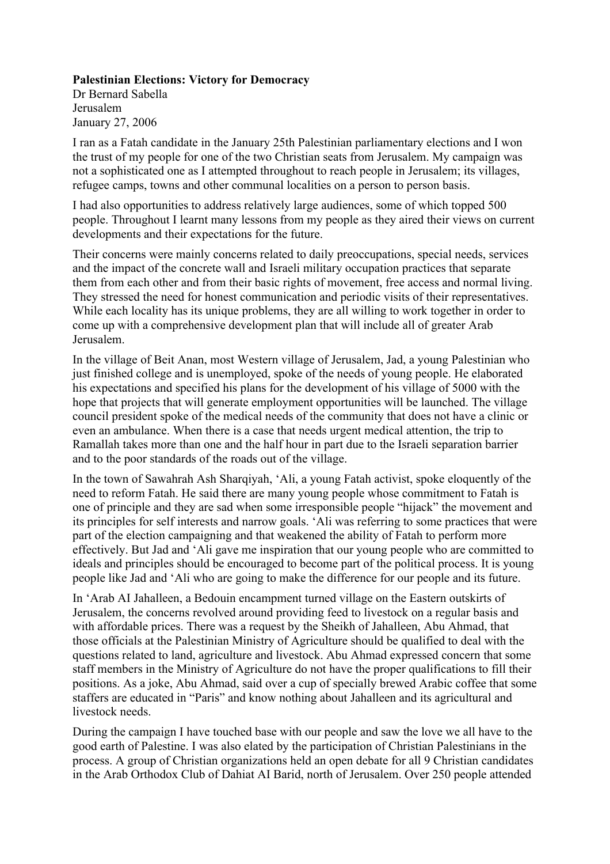## **Palestinian Elections: Victory for Democracy**

Dr Bernard Sabella Jerusalem January 27, 2006

I ran as a Fatah candidate in the January 25th Palestinian parliamentary elections and I won the trust of my people for one of the two Christian seats from Jerusalem. My campaign was not a sophisticated one as I attempted throughout to reach people in Jerusalem; its villages, refugee camps, towns and other communal localities on a person to person basis.

I had also opportunities to address relatively large audiences, some of which topped 500 people. Throughout I learnt many lessons from my people as they aired their views on current developments and their expectations for the future.

Their concerns were mainly concerns related to daily preoccupations, special needs, services and the impact of the concrete wall and Israeli military occupation practices that separate them from each other and from their basic rights of movement, free access and normal living. They stressed the need for honest communication and periodic visits of their representatives. While each locality has its unique problems, they are all willing to work together in order to come up with a comprehensive development plan that will include all of greater Arab Jerusalem.

In the village of Beit Anan, most Western village of Jerusalem, Jad, a young Palestinian who just finished college and is unemployed, spoke of the needs of young people. He elaborated his expectations and specified his plans for the development of his village of 5000 with the hope that projects that will generate employment opportunities will be launched. The village council president spoke of the medical needs of the community that does not have a clinic or even an ambulance. When there is a case that needs urgent medical attention, the trip to Ramallah takes more than one and the half hour in part due to the Israeli separation barrier and to the poor standards of the roads out of the village.

In the town of Sawahrah Ash Sharqiyah, 'Ali, a young Fatah activist, spoke eloquently of the need to reform Fatah. He said there are many young people whose commitment to Fatah is one of principle and they are sad when some irresponsible people "hijack" the movement and its principles for self interests and narrow goals. 'Ali was referring to some practices that were part of the election campaigning and that weakened the ability of Fatah to perform more effectively. But Jad and 'Ali gave me inspiration that our young people who are committed to ideals and principles should be encouraged to become part of the political process. It is young people like Jad and 'Ali who are going to make the difference for our people and its future.

In 'Arab AI Jahalleen, a Bedouin encampment turned village on the Eastern outskirts of Jerusalem, the concerns revolved around providing feed to livestock on a regular basis and with affordable prices. There was a request by the Sheikh of Jahalleen, Abu Ahmad, that those officials at the Palestinian Ministry of Agriculture should be qualified to deal with the questions related to land, agriculture and livestock. Abu Ahmad expressed concern that some staff members in the Ministry of Agriculture do not have the proper qualifications to fill their positions. As a joke, Abu Ahmad, said over a cup of specially brewed Arabic coffee that some staffers are educated in "Paris" and know nothing about Jahalleen and its agricultural and livestock needs.

During the campaign I have touched base with our people and saw the love we all have to the good earth of Palestine. I was also elated by the participation of Christian Palestinians in the process. A group of Christian organizations held an open debate for all 9 Christian candidates in the Arab Orthodox Club of Dahiat AI Barid, north of Jerusalem. Over 250 people attended